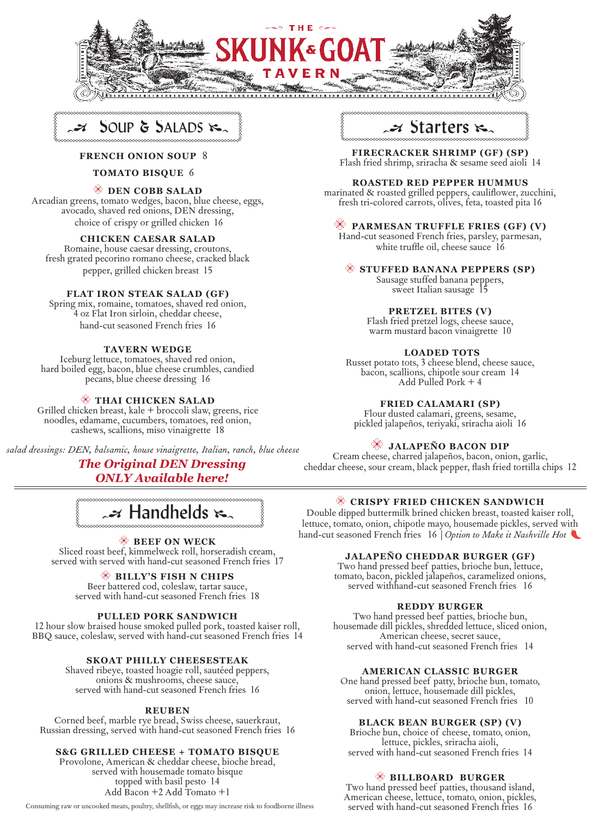



#### **FRENCH ONION SOUP** 8

#### **TOMATO BISQUE** 6

### **DEN COBB SALAD**

Arcadian greens, tomato wedges, bacon, blue cheese, eggs, avocado, shaved red onions, DEN dressing, choice of crispy or grilled chicken 16

# **CHICKEN CAESAR SALAD**<br>Romaine, house caesar dressing, croutons,

fresh grated pecorino romano cheese, cracked black pepper, grilled chicken breast 15

#### **FLAT IRON STEAK SALAD (GF)**

Spring mix, romaine, tomatoes, shaved red onion, 4 oz Flat Iron sirloin, cheddar cheese, hand-cut seasoned French fries 16

#### **TAVERN WEDGE**

Iceburg lettuce, tomatoes, shaved red onion, hard boiled egg, bacon, blue cheese crumbles, candied pecans, blue cheese dressing 16

#### **THAI CHICKEN SALAD**

Grilled chicken breast, kale + broccoli slaw, greens, rice noodles, edamame, cucumbers, tomatoes, red onion, cashews, scallions, miso vinaigrette 18

*salad dressings: DEN, balsamic, house vinaigrette, Italian, ranch, blue cheese*

### *The Original DEN Dressing ONLY Available here!*

 $\boldsymbol{\mathscr{A}}$  Handhelds  $\boldsymbol{\kappa}_{\alpha}$ 

### **BEEF ON WECK**

Sliced roast beef, kimmelweck roll, horseradish cream, served with served with hand-cut seasoned French fries 17

#### **BILLY'S FISH N CHIPS**

Beer battered cod, coleslaw, tartar sauce, served with hand-cut seasoned French fries 18

#### **PULLED PORK SANDWICH**

12 hour slow braised house smoked pulled pork, toasted kaiser roll, BBQ sauce, coleslaw, served with hand-cut seasoned French fries 14

#### **SKOAT PHILLY CHEESESTEAK**

Shaved ribeye, toasted hoagie roll, sautéed peppers, onions & mushrooms, cheese sauce, served with hand-cut seasoned French fries 16

**REUBEN**<br>Corned beef, marble rye bread, Swiss cheese, sauerkraut, Russian dressing, served with hand-cut seasoned French fries 16

#### **S&G GRILLED CHEESE + TOMATO BISQUE**

Provolone, American & cheddar cheese, bioche bread, served with housemade tomato bisque topped with basil pesto 14 Add Bacon +2 Add Tomato +1

Consuming raw or uncooked meats, poultry, shellfish, or eggs may increase risk to foodborne illness



**FIRECRACKER SHRIMP (GF) (SP)** Flash fried shrimp, sriracha & sesame seed aioli 14

**ROASTED RED PEPPER HUMMUS**<br>marinated & roasted grilled peppers, cauliflower, zucchini, fresh tri-colored carrots, olives, feta, toasted pita 16

#### **PARMESAN TRUFFLE FRIES (GF) (V)**

Hand-cut seasoned French fries, parsley, parmesan, white truffle oil, cheese sauce 16

#### **STUFFED BANANA PEPPERS (SP)**

Sausage stuffed banana peppers, sweet Italian sausage 15

#### **PRETZEL BITES (V)**

Flash fried pretzel logs, cheese sauce, warm mustard bacon vinaigrette 10

#### **LOADED TOTS**

Russet potato tots, 3 cheese blend, cheese sauce, bacon, scallions, chipotle sour cream 14 Add Pulled Pork + 4

#### **FRIED CALAMARI (SP)**

Flour dusted calamari, greens, sesame, pickled jalapeños, teriyaki, sriracha aioli 16

#### **JALAPEÑO BACON DIP**

Cream cheese, charred jalapeños, bacon, onion, garlic, cheddar cheese, sour cream, black pepper, flash fried tortilla chips 12

#### **CRISPY FRIED CHICKEN SANDWICH**

Double dipped buttermilk brined chicken breast, toasted kaiser roll, lettuce, tomato, onion, chipotle mayo, housemade pickles, served with hand-cut seasoned French fries 16 |*Option to Make it Nashville Hot* 

#### **JALAPEÑO CHEDDAR BURGER (GF)**

Two hand pressed beef patties, brioche bun, lettuce, tomato, bacon, pickled jalapeños, caramelized onions, served withhand-cut seasoned French fries 16

**REDDY BURGER**<br>Two hand pressed beef patties, brioche bun, housemade dill pickles, shredded lettuce, sliced onion,<br>American cheese, secret sauce, served with hand-cut seasoned French fries 14

#### **AMERICAN CLASSIC BURGER**

One hand pressed beef patty, brioche bun, tomato, onion, lettuce, housemade dill pickles, served with hand-cut seasoned French fries 10

#### **BLACK BEAN BURGER (SP) (V)**

Brioche bun, choice of cheese, tomato, onion, served with hand-cut seasoned French fries 14

#### **BILLBOARD BURGER**

Two hand pressed beef patties, thousand island, American cheese, lettuce, tomato, onion, pickles, served with hand-cut seasoned French fries 16